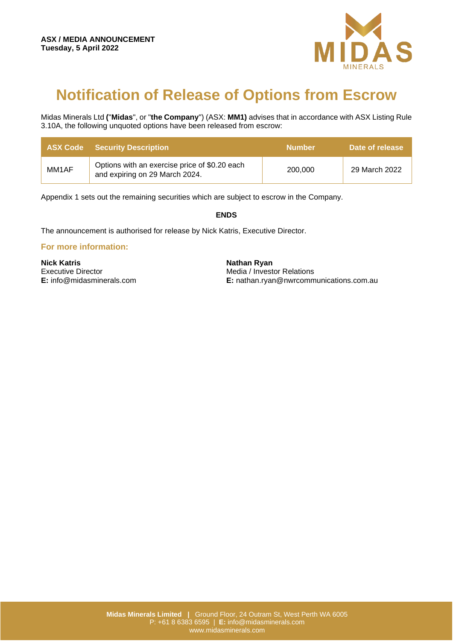

## **Notification of Release of Options from Escrow**

Midas Minerals Ltd **(**"**Midas**", or "**the Company**") (ASX: **MM1)** advises that in accordance with ASX Listing Rule 3.10A, the following unquoted options have been released from escrow:

|       | <b>ASX Code</b> Security Description                                            | <b>Number</b> | Date of release |
|-------|---------------------------------------------------------------------------------|---------------|-----------------|
| MM1AF | Options with an exercise price of \$0.20 each<br>and expiring on 29 March 2024. | 200,000       | 29 March 2022   |

Appendix 1 sets out the remaining securities which are subject to escrow in the Company.

## **ENDS**

The announcement is authorised for release by Nick Katris, Executive Director.

## **For more information:**

**Nick Katris** Executive Director **E:** info@midasminerals.com **Nathan Ryan** Media / Investor Relations **E:** nathan.ryan@nwrcommunications.com.au